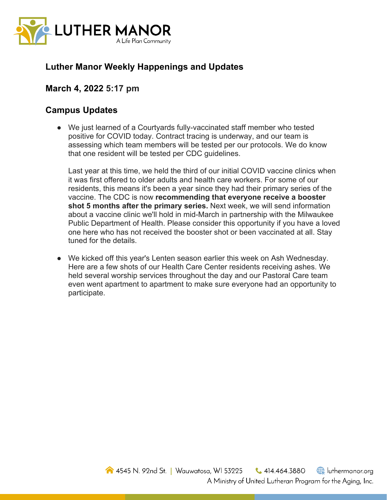

## **Luther Manor Weekly Happenings and Updates**

## **March 4, 2022 5:17 pm**

## **Campus Updates**

● We just learned of a Courtyards fully-vaccinated staff member who tested positive for COVID today. Contract tracing is underway, and our team is assessing which team members will be tested per our protocols. We do know that one resident will be tested per CDC guidelines.

Last year at this time, we held the third of our initial COVID vaccine clinics when it was first offered to older adults and health care workers. For some of our residents, this means it's been a year since they had their primary series of the vaccine. The CDC is now **recommending that everyone receive a booster shot 5 months after the primary series.** Next week, we will send information about a vaccine clinic we'll hold in mid-March in partnership with the Milwaukee Public Department of Health. Please consider this opportunity if you have a loved one here who has not received the booster shot or been vaccinated at all. Stay tuned for the details.

● We kicked off this year's Lenten season earlier this week on Ash Wednesday. Here are a few shots of our Health Care Center residents receiving ashes. We held several worship services throughout the day and our Pastoral Care team even went apartment to apartment to make sure everyone had an opportunity to participate.